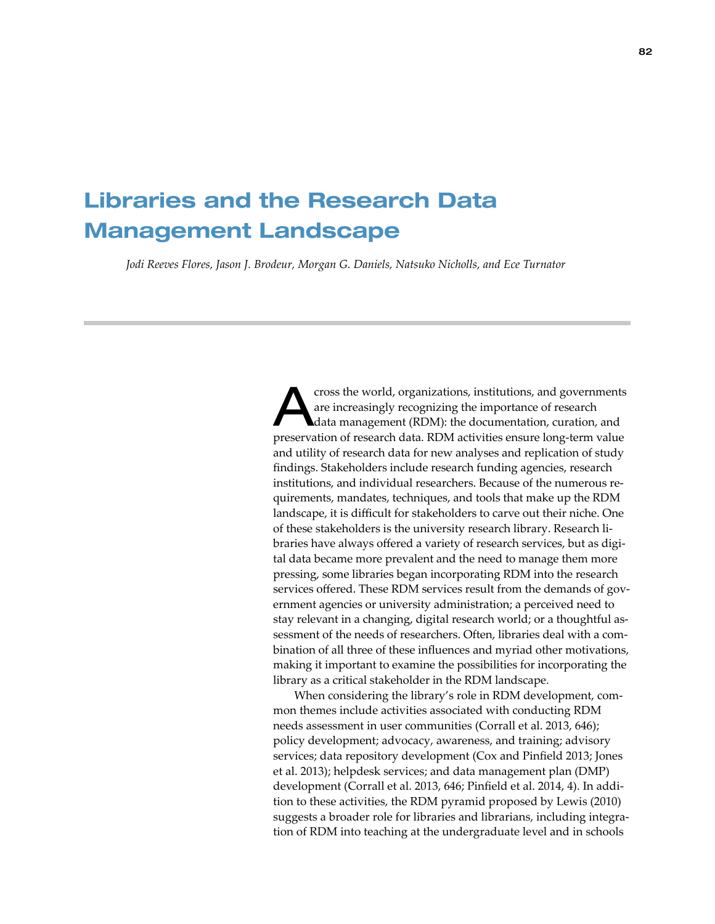# Libraries and the Research Data Management Landscape

*Jodi Reeves Flores, Jason J. Brodeur, Morgan G. Daniels, Natsuko Nicholls, and Ece Turnator*

The world, organizations, institutions, and governments<br>
are increasingly recognizing the importance of research<br>
data management (RDM): the documentation, curation, and<br>
suppose the compact of the RDM strictly research are increasingly recognizing the importance of research preservation of research data. RDM activities ensure long-term value and utility of research data for new analyses and replication of study findings. Stakeholders include research funding agencies, research institutions, and individual researchers. Because of the numerous requirements, mandates, techniques, and tools that make up the RDM landscape, it is difficult for stakeholders to carve out their niche. One of these stakeholders is the university research library. Research libraries have always offered a variety of research services, but as digital data became more prevalent and the need to manage them more pressing, some libraries began incorporating RDM into the research services offered. These RDM services result from the demands of government agencies or university administration; a perceived need to stay relevant in a changing, digital research world; or a thoughtful assessment of the needs of researchers. Often, libraries deal with a combination of all three of these influences and myriad other motivations, making it important to examine the possibilities for incorporating the library as a critical stakeholder in the RDM landscape.

When considering the library's role in RDM development, common themes include activities associated with conducting RDM needs assessment in user communities (Corrall et al. 2013, 646); policy development; advocacy, awareness, and training; advisory services; data repository development (Cox and Pinfield 2013; Jones et al. 2013); helpdesk services; and data management plan (DMP) development (Corrall et al. 2013, 646; Pinfield et al. 2014, 4). In addition to these activities, the RDM pyramid proposed by Lewis (2010) suggests a broader role for libraries and librarians, including integration of RDM into teaching at the undergraduate level and in schools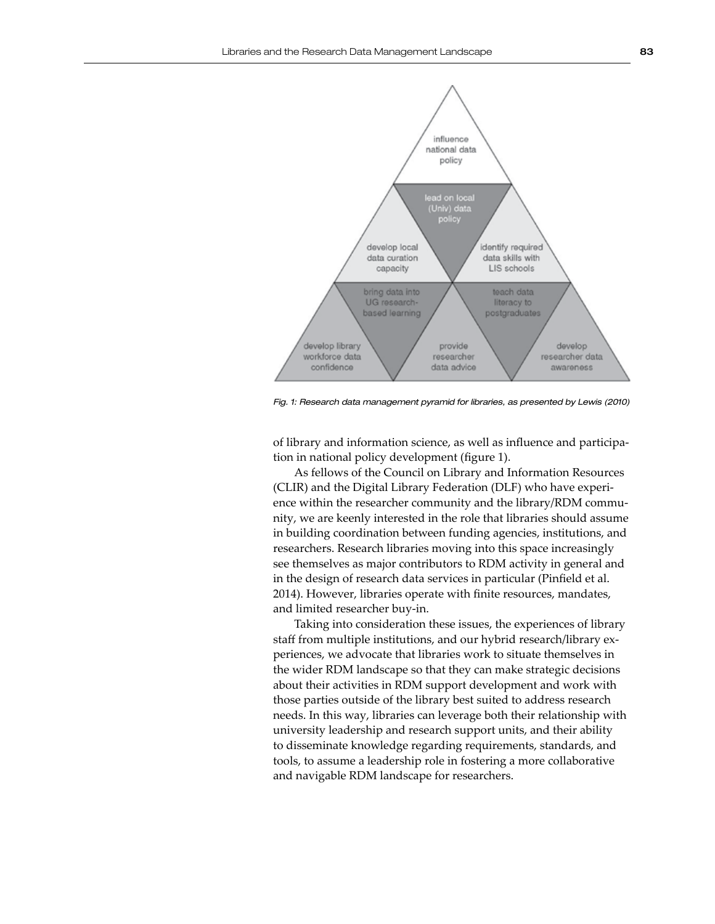

*Fig. 1: Research data management pyramid for libraries, as presented by Lewis (2010)*

of library and information science, as well as influence and participation in national policy development (figure 1).

As fellows of the Council on Library and Information Resources (CLIR) and the Digital Library Federation (DLF) who have experience within the researcher community and the library/RDM community, we are keenly interested in the role that libraries should assume in building coordination between funding agencies, institutions, and researchers. Research libraries moving into this space increasingly see themselves as major contributors to RDM activity in general and in the design of research data services in particular (Pinfield et al. 2014). However, libraries operate with finite resources, mandates, and limited researcher buy-in.

Taking into consideration these issues, the experiences of library staff from multiple institutions, and our hybrid research/library experiences, we advocate that libraries work to situate themselves in the wider RDM landscape so that they can make strategic decisions about their activities in RDM support development and work with those parties outside of the library best suited to address research needs. In this way, libraries can leverage both their relationship with university leadership and research support units, and their ability to disseminate knowledge regarding requirements, standards, and tools, to assume a leadership role in fostering a more collaborative and navigable RDM landscape for researchers.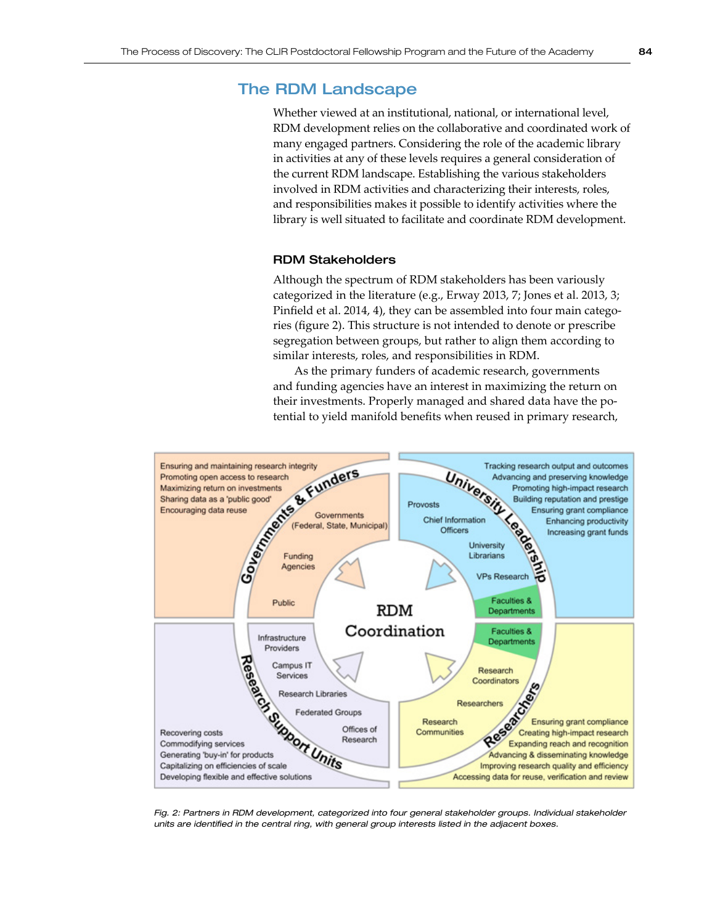## The RDM Landscape

Whether viewed at an institutional, national, or international level, RDM development relies on the collaborative and coordinated work of many engaged partners. Considering the role of the academic library in activities at any of these levels requires a general consideration of the current RDM landscape. Establishing the various stakeholders involved in RDM activities and characterizing their interests, roles, and responsibilities makes it possible to identify activities where the library is well situated to facilitate and coordinate RDM development.

## RDM Stakeholders

Although the spectrum of RDM stakeholders has been variously categorized in the literature (e.g., Erway 2013, 7; Jones et al. 2013, 3; Pinfield et al. 2014, 4), they can be assembled into four main categories (figure 2). This structure is not intended to denote or prescribe segregation between groups, but rather to align them according to similar interests, roles, and responsibilities in RDM.

As the primary funders of academic research, governments and funding agencies have an interest in maximizing the return on their investments. Properly managed and shared data have the potential to yield manifold benefits when reused in primary research,



*Fig. 2: Partners in RDM development, categorized into four general stakeholder groups. Individual stakeholder units are identified in the central ring, with general group interests listed in the adjacent boxes.*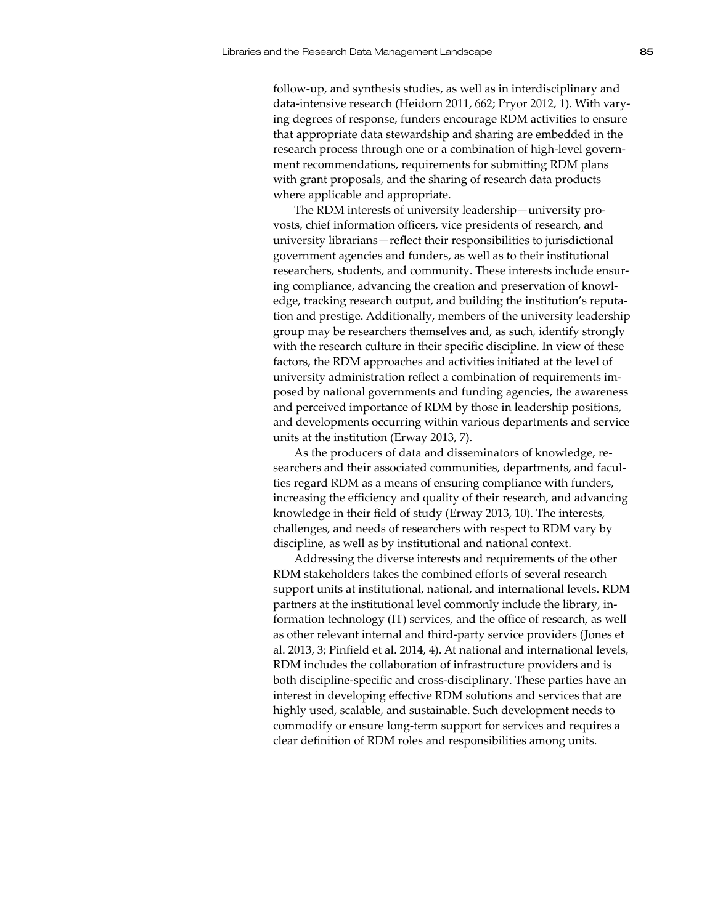follow-up, and synthesis studies, as well as in interdisciplinary and data-intensive research (Heidorn 2011, 662; Pryor 2012, 1). With varying degrees of response, funders encourage RDM activities to ensure that appropriate data stewardship and sharing are embedded in the research process through one or a combination of high-level government recommendations, requirements for submitting RDM plans with grant proposals, and the sharing of research data products where applicable and appropriate.

The RDM interests of university leadership—university provosts, chief information officers, vice presidents of research, and university librarians—reflect their responsibilities to jurisdictional government agencies and funders, as well as to their institutional researchers, students, and community. These interests include ensuring compliance, advancing the creation and preservation of knowledge, tracking research output, and building the institution's reputation and prestige. Additionally, members of the university leadership group may be researchers themselves and, as such, identify strongly with the research culture in their specific discipline. In view of these factors, the RDM approaches and activities initiated at the level of university administration reflect a combination of requirements imposed by national governments and funding agencies, the awareness and perceived importance of RDM by those in leadership positions, and developments occurring within various departments and service units at the institution (Erway 2013, 7).

As the producers of data and disseminators of knowledge, researchers and their associated communities, departments, and faculties regard RDM as a means of ensuring compliance with funders, increasing the efficiency and quality of their research, and advancing knowledge in their field of study (Erway 2013, 10). The interests, challenges, and needs of researchers with respect to RDM vary by discipline, as well as by institutional and national context.

Addressing the diverse interests and requirements of the other RDM stakeholders takes the combined efforts of several research support units at institutional, national, and international levels. RDM partners at the institutional level commonly include the library, information technology (IT) services, and the office of research, as well as other relevant internal and third-party service providers (Jones et al. 2013, 3; Pinfield et al. 2014, 4). At national and international levels, RDM includes the collaboration of infrastructure providers and is both discipline-specific and cross-disciplinary. These parties have an interest in developing effective RDM solutions and services that are highly used, scalable, and sustainable. Such development needs to commodify or ensure long-term support for services and requires a clear definition of RDM roles and responsibilities among units.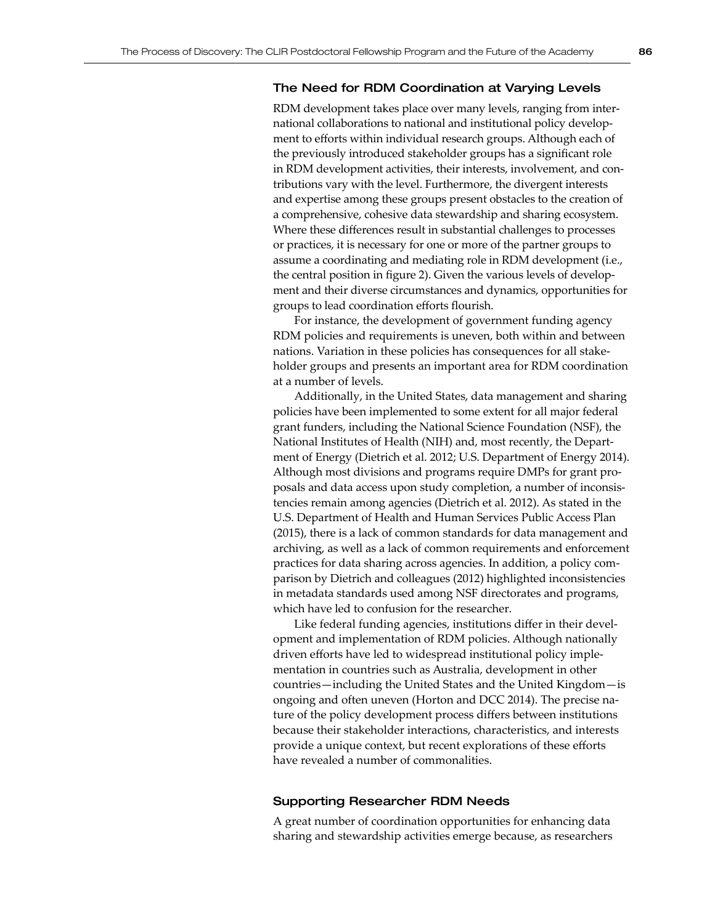## The Need for RDM Coordination at Varying Levels

RDM development takes place over many levels, ranging from international collaborations to national and institutional policy development to efforts within individual research groups. Although each of the previously introduced stakeholder groups has a significant role in RDM development activities, their interests, involvement, and contributions vary with the level. Furthermore, the divergent interests and expertise among these groups present obstacles to the creation of a comprehensive, cohesive data stewardship and sharing ecosystem. Where these differences result in substantial challenges to processes or practices, it is necessary for one or more of the partner groups to assume a coordinating and mediating role in RDM development (i.e., the central position in figure 2). Given the various levels of development and their diverse circumstances and dynamics, opportunities for groups to lead coordination efforts flourish.

For instance, the development of government funding agency RDM policies and requirements is uneven, both within and between nations. Variation in these policies has consequences for all stakeholder groups and presents an important area for RDM coordination at a number of levels.

Additionally, in the United States, data management and sharing policies have been implemented to some extent for all major federal grant funders, including the National Science Foundation (NSF), the National Institutes of Health (NIH) and, most recently, the Department of Energy (Dietrich et al. 2012; U.S. Department of Energy 2014). Although most divisions and programs require DMPs for grant proposals and data access upon study completion, a number of inconsistencies remain among agencies (Dietrich et al. 2012). As stated in the U.S. Department of Health and Human Services Public Access Plan (2015), there is a lack of common standards for data management and archiving, as well as a lack of common requirements and enforcement practices for data sharing across agencies. In addition, a policy comparison by Dietrich and colleagues (2012) highlighted inconsistencies in metadata standards used among NSF directorates and programs, which have led to confusion for the researcher.

Like federal funding agencies, institutions differ in their development and implementation of RDM policies. Although nationally driven efforts have led to widespread institutional policy implementation in countries such as Australia, development in other countries—including the United States and the United Kingdom—is ongoing and often uneven (Horton and DCC 2014). The precise nature of the policy development process differs between institutions because their stakeholder interactions, characteristics, and interests provide a unique context, but recent explorations of these efforts have revealed a number of commonalities.

### Supporting Researcher RDM Needs

A great number of coordination opportunities for enhancing data sharing and stewardship activities emerge because, as researchers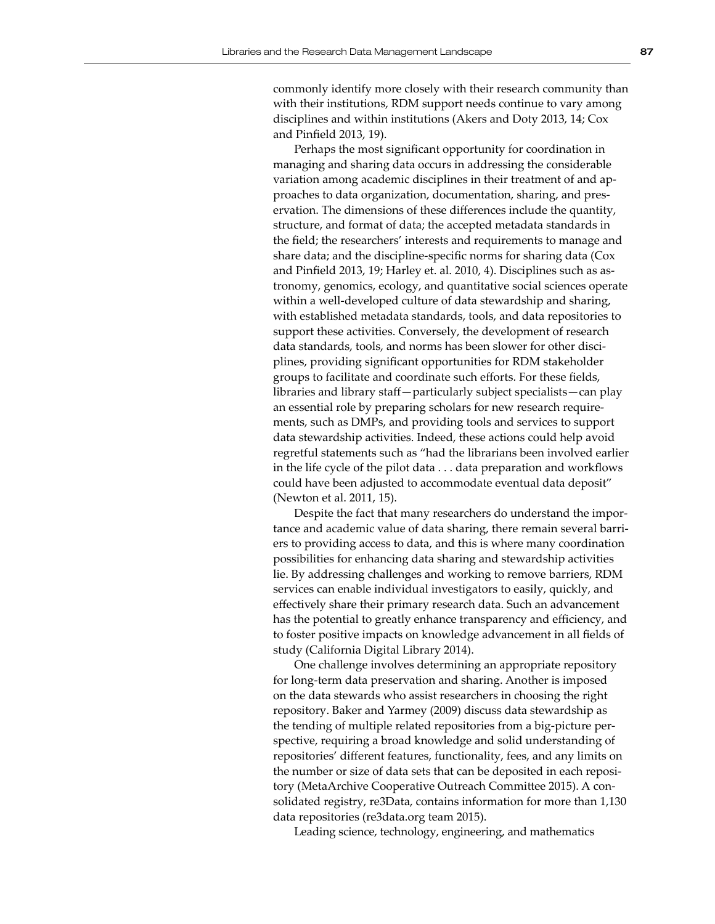commonly identify more closely with their research community than with their institutions, RDM support needs continue to vary among disciplines and within institutions (Akers and Doty 2013, 14; Cox and Pinfield 2013, 19).

Perhaps the most significant opportunity for coordination in managing and sharing data occurs in addressing the considerable variation among academic disciplines in their treatment of and approaches to data organization, documentation, sharing, and preservation. The dimensions of these differences include the quantity, structure, and format of data; the accepted metadata standards in the field; the researchers' interests and requirements to manage and share data; and the discipline-specific norms for sharing data (Cox and Pinfield 2013, 19; Harley et. al. 2010, 4). Disciplines such as astronomy, genomics, ecology, and quantitative social sciences operate within a well-developed culture of data stewardship and sharing, with established metadata standards, tools, and data repositories to support these activities. Conversely, the development of research data standards, tools, and norms has been slower for other disciplines, providing significant opportunities for RDM stakeholder groups to facilitate and coordinate such efforts. For these fields, libraries and library staff—particularly subject specialists—can play an essential role by preparing scholars for new research requirements, such as DMPs, and providing tools and services to support data stewardship activities. Indeed, these actions could help avoid regretful statements such as "had the librarians been involved earlier in the life cycle of the pilot data . . . data preparation and workflows could have been adjusted to accommodate eventual data deposit" (Newton et al. 2011, 15).

Despite the fact that many researchers do understand the importance and academic value of data sharing, there remain several barriers to providing access to data, and this is where many coordination possibilities for enhancing data sharing and stewardship activities lie. By addressing challenges and working to remove barriers, RDM services can enable individual investigators to easily, quickly, and effectively share their primary research data. Such an advancement has the potential to greatly enhance transparency and efficiency, and to foster positive impacts on knowledge advancement in all fields of study (California Digital Library [2](https://dash.library.ucsc.edu/xtf/search?smode=aboutPage)0[1](https://dash.library.ucsc.edu/xtf/search?smode=aboutPage)4).

One challenge involves determining an appropriate repository for long-term data preservation and sharing. Another is imposed on the data stewards who assist researchers in choosing the right repository. Baker and Yarmey (2009) discuss data stewardship as the tending of multiple related repositories from a big-picture perspective, requiring a broad knowledge and solid understanding of repositories' different features, functionality, fees, and any limits on the number or size of data sets that can be deposited in each repository (MetaArchive Cooperative Outreach Committee 2015). A consolidated registry, re3Data, contains information for more than 1,130 data repositories (re3data.org team 2015).

Leading science, technology, engineering, and mathematics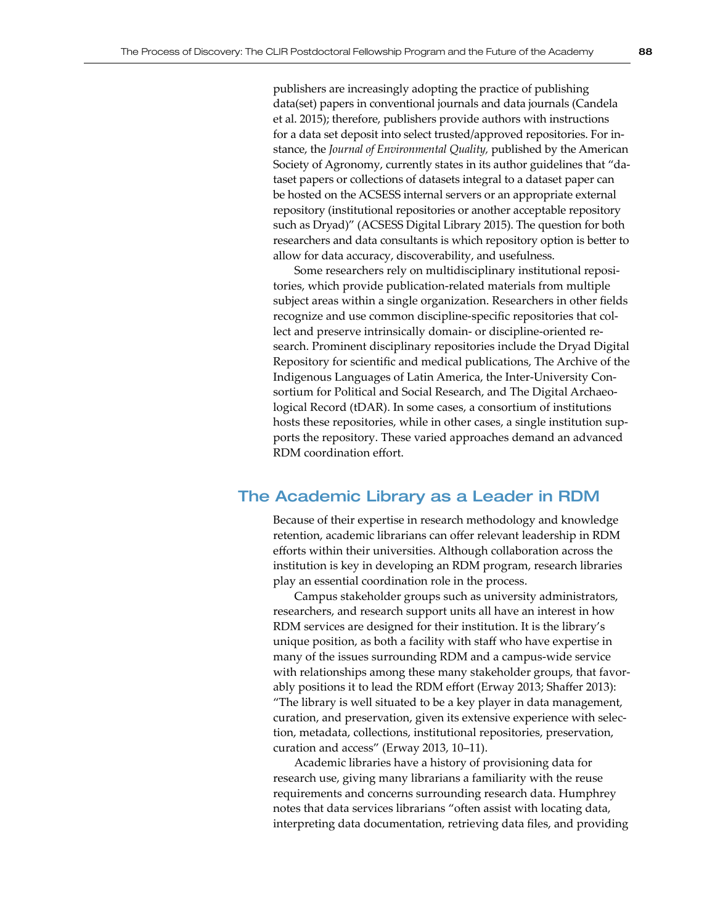publishers are increasingly adopting the practice of publishing data(set) papers in conventional journals and data journals (Candela et al. 2015); therefore, publishers provide authors with instructions for a data set deposit into select trusted/approved repositories. For instance, the *Journal of Environmental Quality,* published by the American Society of Agronomy, currently states in its author guidelines that "dataset papers or collections of datasets integral to a dataset paper can be hosted on the ACSESS internal servers or an appropriate external repository (institutional repositories or another acceptable repository such as Dryad)" (ACSESS Digital Library 2015). The question for both researchers and data consultants is which repository option is better to allow for data accuracy, discoverability, and usefulness.

Some researchers rely on multidisciplinary institutional repositories, which provide publication-related materials from multiple subject areas within a single organization. Researchers in other fields recognize and use common discipline-specific repositories that collect and preserve intrinsically domain- or discipline-oriented research. [Prominent disciplinary repositories include](http://www.google.com/url?q=http%3A%2F%2Fdatadryad.org%2F&sa=D&sntz=1&usg=AFQjCNFvOE_ywhJ6RuwAIU779uveyMKMFA) the [Dryad](http://www.google.com/url?q=http%3A%2F%2Fdatadryad.org%2F&sa=D&sntz=1&usg=AFQjCNFvOE_ywhJ6RuwAIU779uveyMKMFA) Digital Repository for scientific and medical publications, The Archive of the Indigenous Languages of Latin America, the Inter-University Consortium for Political and Social Research, and The Digital Archaeological Record (tDAR). In some cases, a consortium of institutions hosts these repositories, while in other cases, a single institution supports the repository. These varied approaches demand an advanced RDM coordination effort.

## The Academic Library as a Leader in RDM

Because of their expertise in research methodology and knowledge retention, academic librarians can offer relevant leadership in RDM efforts within their universities. Although collaboration across the institution is key in developing an RDM program, research libraries play an essential coordination role in the process.

Campus stakeholder groups such as university administrators, researchers, and research support units all have an interest in how RDM services are designed for their institution. It is the library's unique position, as both a facility with staff who have expertise in many of the issues surrounding RDM and a campus-wide service with relationships among these many stakeholder groups, that favorably positions it to lead the RDM effort (Erway 2013; Shaffer 2013): "The library is well situated to be a key player in data management, curation, and preservation, given its extensive experience with selection, metadata, collections, institutional repositories, preservation, curation and access" (Erway 2013, 10–11).

Academic libraries have a history of provisioning data for research use, giving many librarians a familiarity with the reuse requirements and concerns surrounding research data. Humphrey notes that data services librarians "often assist with locating data, interpreting data documentation, retrieving data files, and providing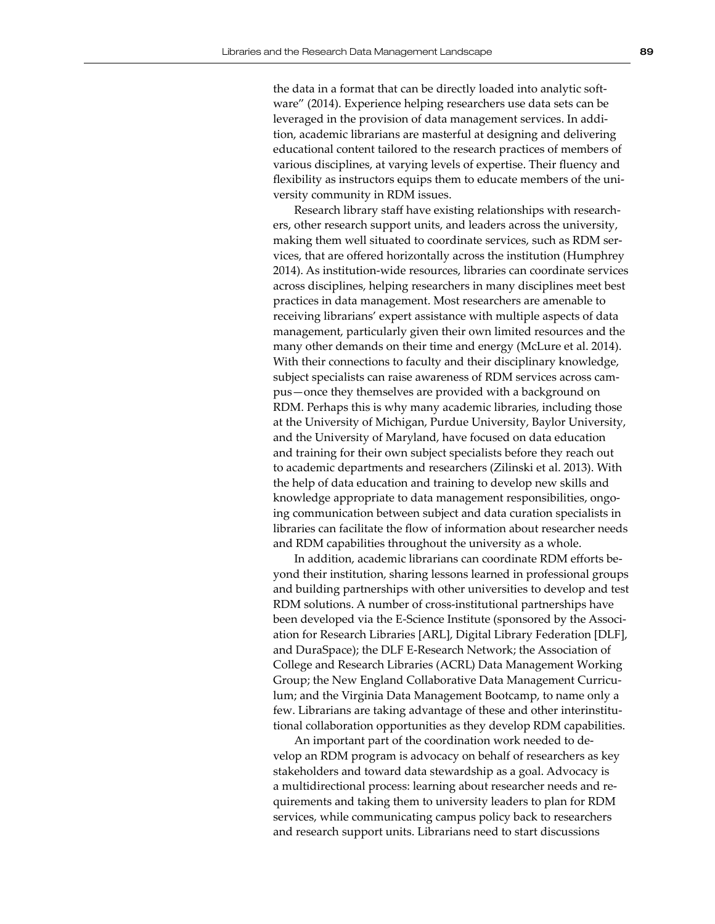the data in a format that can be directly loaded into analytic software" (2014). Experience helping researchers use data sets can be leveraged in the provision of data management services. In addition, academic librarians are masterful at designing and delivering educational content tailored to the research practices of members of various disciplines, at varying levels of expertise. Their fluency and flexibility as instructors equips them to educate members of the university community in RDM issues.

Research library staff have existing relationships with researchers, other research support units, and leaders across the university, making them well situated to coordinate services, such as RDM services, that are offered horizontally across the institution (Humphrey 2014). As institution-wide resources, libraries can coordinate services across disciplines, helping researchers in many disciplines meet best practices in data management. Most researchers are amenable to receiving librarians' expert assistance with multiple aspects of data management, particularly given their own limited resources and the many other demands on their time and energy (McLure et al. 2014). With their connections to faculty and their disciplinary knowledge, subject specialists can raise awareness of RDM services across campus—once they themselves are provided with a background on RDM. Perhaps this is why many academic libraries, including those at the University of Michigan, Purdue University, Baylor University, and the University of Maryland, have focused on data education and training for their own subject specialists before they reach out to academic departments and researchers (Zilinski et al. 2013). With the help of data education and training to develop new skills and knowledge appropriate to data management responsibilities, ongoing communication between subject and data curation specialists in libraries can facilitate the flow of information about researcher needs and RDM capabilities throughout the university as a whole.

In addition, academic librarians can coordinate RDM efforts beyond their institution, sharing lessons learned in professional groups and building partnerships with other universities to develop and test RDM solutions. A number of cross-institutional partnerships have been developed via the E-Science Institute (sponsored by the Association for Research Libraries [ARL], Digital Library Federation [DLF], and DuraSpace); the DLF E-Research Network; the Association of College and Research Libraries (ACRL) Data Management Working Group; the New England Collaborative Data Management Curriculum; and the Virginia Data Management Bootcamp, to name only a few. Librarians are taking advantage of these and other interinstitutional collaboration opportunities as they develop RDM capabilities.

An important part of the coordination work needed to develop an RDM program is advocacy on behalf of researchers as key stakeholders and toward data stewardship as a goal. Advocacy is a multidirectional process: learning about researcher needs and requirements and taking them to university leaders to plan for RDM services, while communicating campus policy back to researchers and research support units. Librarians need to start discussions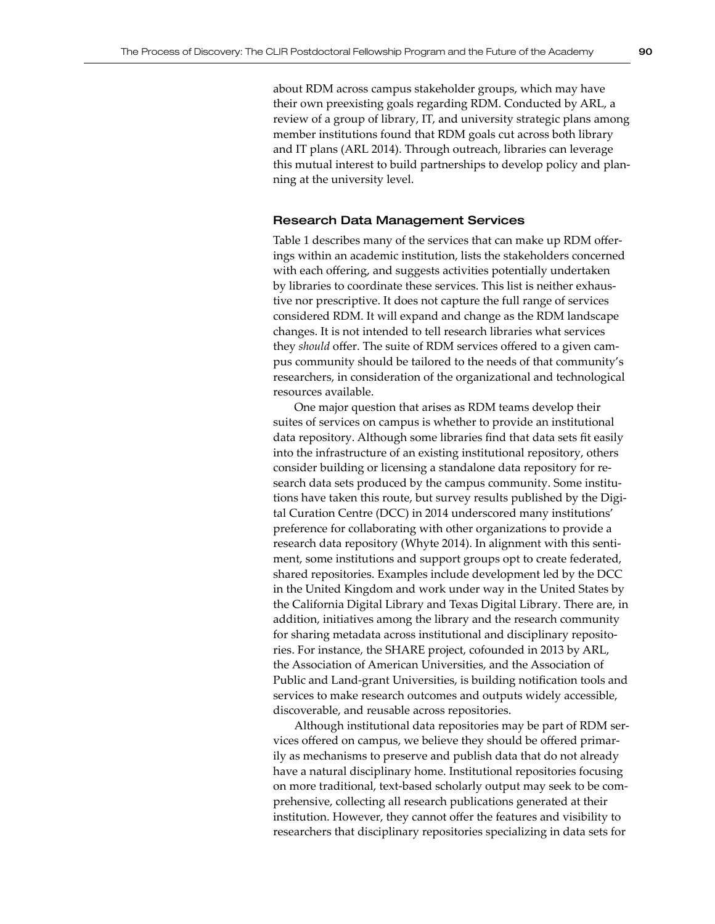about RDM across campus stakeholder groups, which may have their own preexisting goals regarding RDM. Conducted by ARL, a review of a group of library, IT, and university strategic plans among member institutions found that RDM goals cut across both library and IT plans (ARL 2014). Through outreach, libraries can leverage this mutual interest to build partnerships to develop policy and planning at the university level.

#### Research Data Management Services

Table 1 describes many of the services that can make up RDM offerings within an academic institution, lists the stakeholders concerned with each offering, and suggests activities potentially undertaken by libraries to coordinate these services. This list is neither exhaustive nor prescriptive. It does not capture the full range of services considered RDM. It will expand and change as the RDM landscape changes. It is not intended to tell research libraries what services they *should* offer. The suite of RDM services offered to a given campus community should be tailored to the needs of that community's researchers, in consideration of the organizational and technological resources available.

One major question that arises as RDM teams develop their suites of services on campus is whether to provide an institutional data repository. Although some libraries find that data sets fit easily into the infrastructure of an existing institutional repository, others consider building or licensing a standalone data repository for research data sets produced by the campus community. Some institutions have taken this route, but survey results published by the Digital Curation Centre (DCC) in 2014 underscored many institutions' preference for collaborating with other organizations to provide a research data repository (Whyte 2014). In alignment with this sentiment, some institutions and support groups opt to create federated, shared repositories. Examples include development led by the DCC in the United Kingdom and work under way in the United States by the California Digital Library and Texas Digital Library. There are, in addition, initiatives among the library and the research community for sharing metadata across institutional and disciplinary repositories. For instance, the SHARE project, cofounded in 2013 by ARL, the Association of American Universities, and the Association of Public and Land-grant Universities, is building notification tools and services to make research outcomes and outputs widely accessible, discoverable, and reusable across repositories.

Although institutional data repositories may be part of RDM services offered on campus, we believe they should be offered primarily as mechanisms to preserve and publish data that do not already have a natural disciplinary home. Institutional repositories focusing on more traditional, text-based scholarly output may seek to be comprehensive, collecting all research publications generated at their institution. However, they cannot offer the features and visibility to researchers that disciplinary repositories specializing in data sets for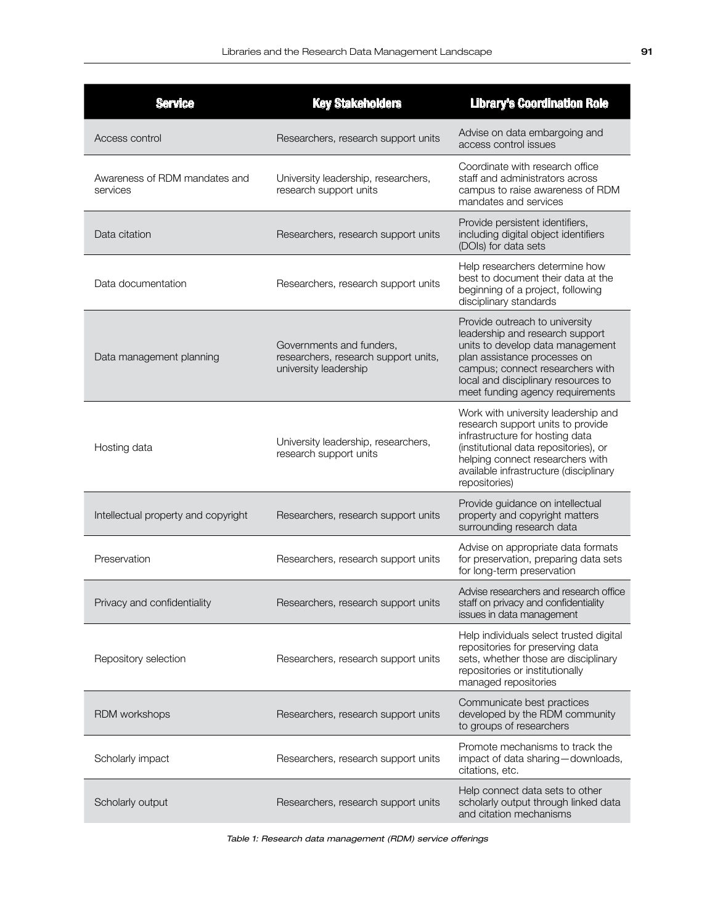| <b>Service</b>                            | <b>Key Stakeholders</b>                                                                   | <b>Library's Coordination Role</b>                                                                                                                                                                                                                   |
|-------------------------------------------|-------------------------------------------------------------------------------------------|------------------------------------------------------------------------------------------------------------------------------------------------------------------------------------------------------------------------------------------------------|
| Access control                            | Researchers, research support units                                                       | Advise on data embargoing and<br>access control issues                                                                                                                                                                                               |
| Awareness of RDM mandates and<br>services | University leadership, researchers,<br>research support units                             | Coordinate with research office<br>staff and administrators across<br>campus to raise awareness of RDM<br>mandates and services                                                                                                                      |
| Data citation                             | Researchers, research support units                                                       | Provide persistent identifiers,<br>including digital object identifiers<br>(DOIs) for data sets                                                                                                                                                      |
| Data documentation                        | Researchers, research support units                                                       | Help researchers determine how<br>best to document their data at the<br>beginning of a project, following<br>disciplinary standards                                                                                                                  |
| Data management planning                  | Governments and funders,<br>researchers, research support units,<br>university leadership | Provide outreach to university<br>leadership and research support<br>units to develop data management<br>plan assistance processes on<br>campus; connect researchers with<br>local and disciplinary resources to<br>meet funding agency requirements |
| Hosting data                              | University leadership, researchers,<br>research support units                             | Work with university leadership and<br>research support units to provide<br>infrastructure for hosting data<br>(institutional data repositories), or<br>helping connect researchers with<br>available infrastructure (disciplinary<br>repositories)  |
| Intellectual property and copyright       | Researchers, research support units                                                       | Provide guidance on intellectual<br>property and copyright matters<br>surrounding research data                                                                                                                                                      |
| Preservation                              | Researchers, research support units                                                       | Advise on appropriate data formats<br>for preservation, preparing data sets<br>for long-term preservation                                                                                                                                            |
| Privacy and confidentiality               | Researchers, research support units                                                       | Advise researchers and research office<br>staff on privacy and confidentiality<br>issues in data management                                                                                                                                          |
| Repository selection                      | Researchers, research support units                                                       | Help individuals select trusted digital<br>repositories for preserving data<br>sets, whether those are disciplinary<br>repositories or institutionally<br>managed repositories                                                                       |
| RDM workshops                             | Researchers, research support units                                                       | Communicate best practices<br>developed by the RDM community<br>to groups of researchers                                                                                                                                                             |
| Scholarly impact                          | Researchers, research support units                                                       | Promote mechanisms to track the<br>impact of data sharing - downloads,<br>citations, etc.                                                                                                                                                            |
| Scholarly output                          | Researchers, research support units                                                       | Help connect data sets to other<br>scholarly output through linked data<br>and citation mechanisms                                                                                                                                                   |

*Table 1: Research data management (RDM) service offerings*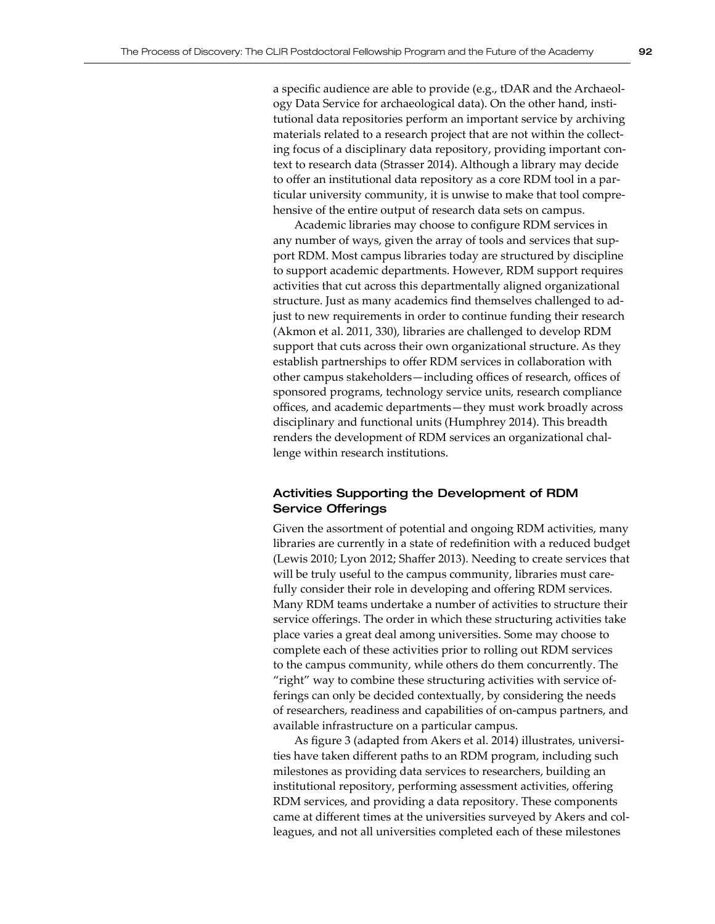a specific audience are able to provide (e.g., tDAR and the Archaeology Data Service for archaeological data). On the other hand, institutional data repositories perform an important service by archiving materials related to a research project that are not within the collecting focus of a disciplinary data repository, providing important context to research data (Strasser 2014). Although a library may decide to offer an institutional data repository as a core RDM tool in a particular university community, it is unwise to make that tool comprehensive of the entire output of research data sets on campus.

Academic libraries may choose to configure RDM services in any number of ways, given the array of tools and services that support RDM. Most campus libraries today are structured by discipline to support academic departments. However, RDM support requires activities that cut across this departmentally aligned organizational structure. Just as many academics find themselves challenged to adjust to new requirements in order to continue funding their research (Akmon et al. 2011, 330), libraries are challenged to develop RDM support that cuts across their own organizational structure. As they establish partnerships to offer RDM services in collaboration with other campus stakeholders—including offices of research, offices of sponsored programs, technology service units, research compliance offices, and academic departments—they must work broadly across disciplinary and functional units (Humphrey 2014). This breadth renders the development of RDM services an organizational challenge within research institutions.

## Activities Supporting the Development of RDM Service Offerings

Given the assortment of potential and ongoing RDM activities, many libraries are currently in a state of redefinition with a reduced budget (Lewis 2010; Lyon 2012; Shaffer 2013). Needing to create services that will be truly useful to the campus community, libraries must carefully consider their role in developing and offering RDM services. Many RDM teams undertake a number of activities to structure their service offerings. The order in which these structuring activities take place varies a great deal among universities. Some may choose to complete each of these activities prior to rolling out RDM services to the campus community, while others do them concurrently. The "right" way to combine these structuring activities with service offerings can only be decided contextually, by considering the needs of researchers, readiness and capabilities of on-campus partners, and available infrastructure on a particular campus.

As figure 3 (adapted from Akers et al. 2014) illustrates, universities have taken different paths to an RDM program, including such milestones as providing data services to researchers, building an institutional repository, performing assessment activities, offering RDM services, and providing a data repository. These components came at different times at the universities surveyed by Akers and colleagues, and not all universities completed each of these milestones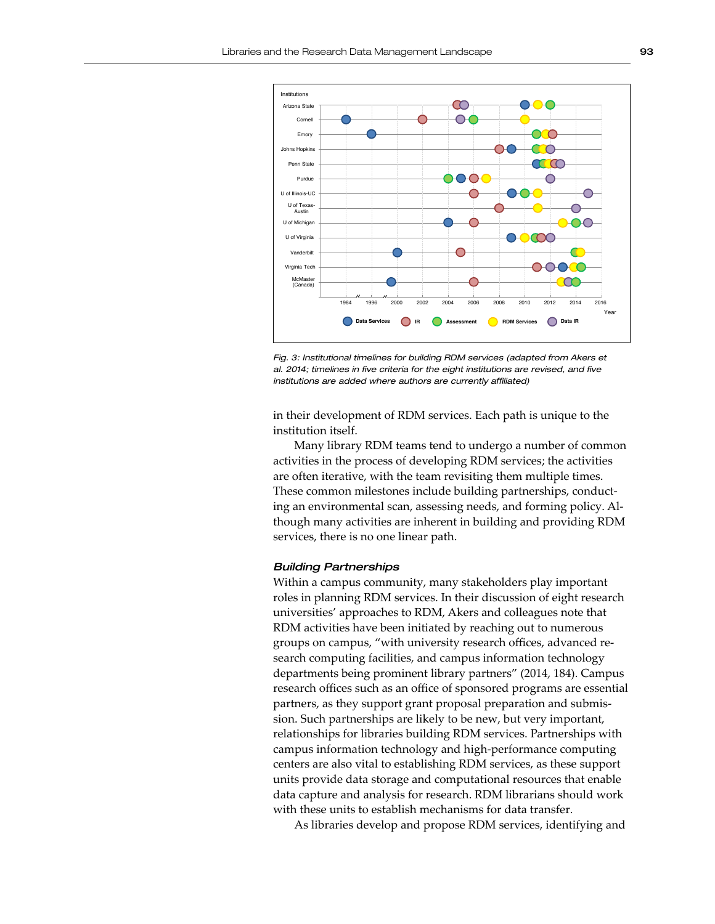

*Fig. 3: Institutional timelines for building RDM services (adapted from Akers et al. 2014; timelines in five criteria for the eight institutions are revised, and five institutions are added where authors are currently affiliated)*

in their development of RDM services. Each path is unique to the institution itself.

Many library RDM teams tend to undergo a number of common activities in the process of developing RDM services; the activities are often iterative, with the team revisiting them multiple times. These common milestones include building partnerships, conducting an environmental scan, assessing needs, and forming policy. Although many activities are inherent in building and providing RDM services, there is no one linear path.

#### *Building Partnerships*

Within a campus community, many stakeholders play important roles in planning RDM services. In their discussion of eight research universities' approaches to RDM, Akers and colleagues note that RDM activities have been initiated by reaching out to numerous groups on campus, "with university research offices, advanced research computing facilities, and campus information technology departments being prominent library partners" (2014, 184). Campus research offices such as an office of sponsored programs are essential partners, as they support grant proposal preparation and submission. Such partnerships are likely to be new, but very important, relationships for libraries building RDM services. Partnerships with campus information technology and high-performance computing centers are also vital to establishing RDM services, as these support units provide data storage and computational resources that enable data capture and analysis for research. RDM librarians should work with these units to establish mechanisms for data transfer.

As libraries develop and propose RDM services, identifying and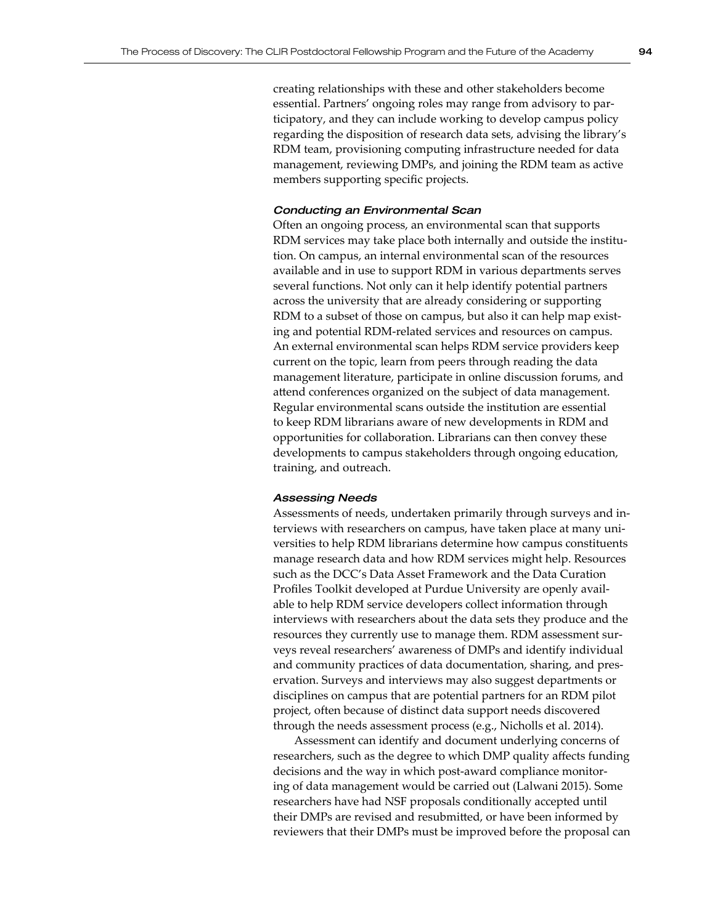creating relationships with these and other stakeholders become essential. Partners' ongoing roles may range from advisory to participatory, and they can include working to develop campus policy regarding the disposition of research data sets, advising the library's RDM team, provisioning computing infrastructure needed for data management, reviewing DMPs, and joining the RDM team as active members supporting specific projects.

## *Conducting an Environmental Scan*

Often an ongoing process, an environmental scan that supports RDM services may take place both internally and outside the institution. On campus, an internal environmental scan of the resources available and in use to support RDM in various departments serves several functions. Not only can it help identify potential partners across the university that are already considering or supporting RDM to a subset of those on campus, but also it can help map existing and potential RDM-related services and resources on campus. An external environmental scan helps RDM service providers keep current on the topic, learn from peers through reading the data management literature, participate in online discussion forums, and attend conferences organized on the subject of data management. Regular environmental scans outside the institution are essential to keep RDM librarians aware of new developments in RDM and opportunities for collaboration. Librarians can then convey these developments to campus stakeholders through ongoing education, training, and outreach.

### *Assessing Needs*

Assessments of needs, undertaken primarily through surveys and interviews with researchers on campus, have taken place at many universities to help RDM librarians determine how campus constituents manage research data and how RDM services might help. Resources such as the DCC's Data Asset Framework and the Data Curation Profiles Toolkit developed at Purdue University are openly available to help RDM service developers collect information through interviews with researchers about the data sets they produce and the resources they currently use to manage them. RDM assessment surveys reveal researchers' awareness of DMPs and identify individual and community practices of data documentation, sharing, and preservation. Surveys and interviews may also suggest departments or disciplines on campus that are potential partners for an RDM pilot project, often because of distinct data support needs discovered through the needs assessment process (e.g., Nicholls et al. 2014).

Assessment can identify and document underlying concerns of researchers, such as the degree to which DMP quality affects funding decisions and the way in which post-award compliance monitoring of data management would be carried out (Lalwani 2015). Some researchers have had NSF proposals conditionally accepted until their DMPs are revised and resubmitted, or have been informed by reviewers that their DMPs must be improved before the proposal can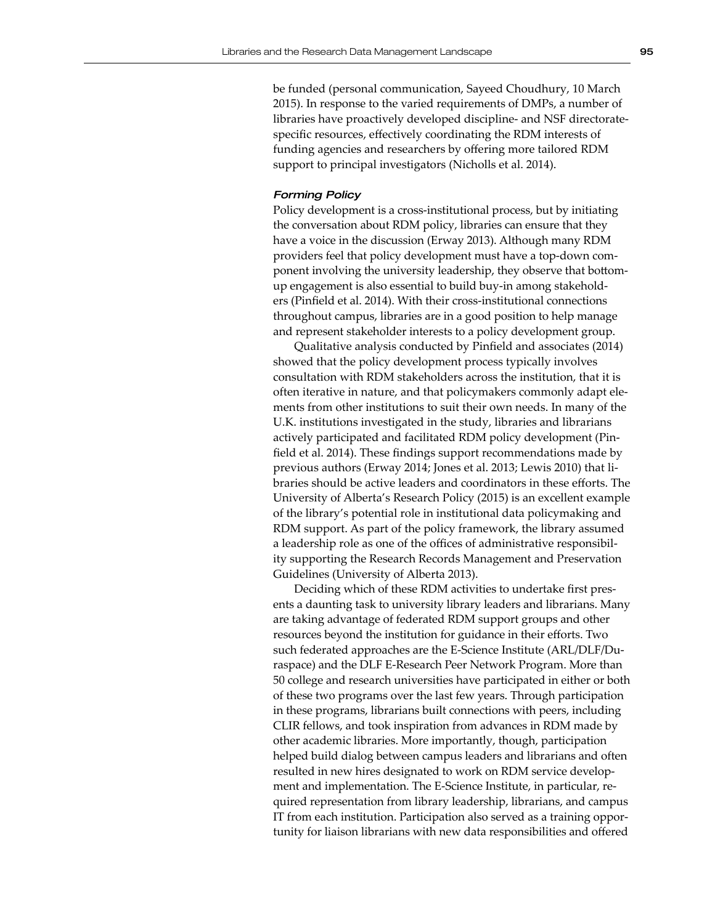be funded (personal communication, Sayeed Choudhury, 10 March 2015). In response to the varied requirements of DMPs, a number of libraries have proactively developed discipline- and NSF directoratespecific resources, effectively coordinating the RDM interests of funding agencies and researchers by offering more tailored RDM support to principal investigators (Nicholls et al. 2014).

#### *Forming Policy*

Policy development is a cross-institutional process, but by initiating the conversation about RDM policy, libraries can ensure that they have a voice in the discussion (Erway 2013). Although many RDM providers feel that policy development must have a top-down component involving the university leadership, they observe that bottomup engagement is also essential to build buy-in among stakeholders (Pinfield et al. 2014). With their cross-institutional connections throughout campus, libraries are in a good position to help manage and represent stakeholder interests to a policy development group.

Qualitative analysis conducted by Pinfield and associates (2014) showed that the policy development process typically involves consultation with RDM stakeholders across the institution, that it is often iterative in nature, and that policymakers commonly adapt elements from other institutions to suit their own needs. In many of the U.K. institutions investigated in the study, libraries and librarians actively participated and facilitated RDM policy development (Pinfield et al. 2014). These findings support recommendations made by previous authors (Erway 2014; Jones et al. 2013; Lewis 2010) that libraries should be active leaders and coordinators in these efforts. The University of Alberta's Research Policy (2015) is an excellent example of the library's potential role in institutional data policymaking and RDM support. As part of the policy framework, the library assumed a leadership role as one of the offices of administrative responsibility supporting the Research Records Management and Preservation Guidelines (University of Alberta 2013).

Deciding which of these RDM activities to undertake first presents a daunting task to university library leaders and librarians. Many are taking advantage of federated RDM support groups and other resources beyond the institution for guidance in their efforts. Two such federated approaches are the E-Science Institute (ARL/DLF/Duraspace) and the DLF E-Research Peer Network Program. More than 50 college and research universities have participated in either or both of these two programs over the last few years. Through participation in these programs, librarians built connections with peers, including CLIR fellows, and took inspiration from advances in RDM made by other academic libraries. More importantly, though, participation helped build dialog between campus leaders and librarians and often resulted in new hires designated to work on RDM service development and implementation. The E-Science Institute, in particular, required representation from library leadership, librarians, and campus IT from each institution. Participation also served as a training opportunity for liaison librarians with new data responsibilities and offered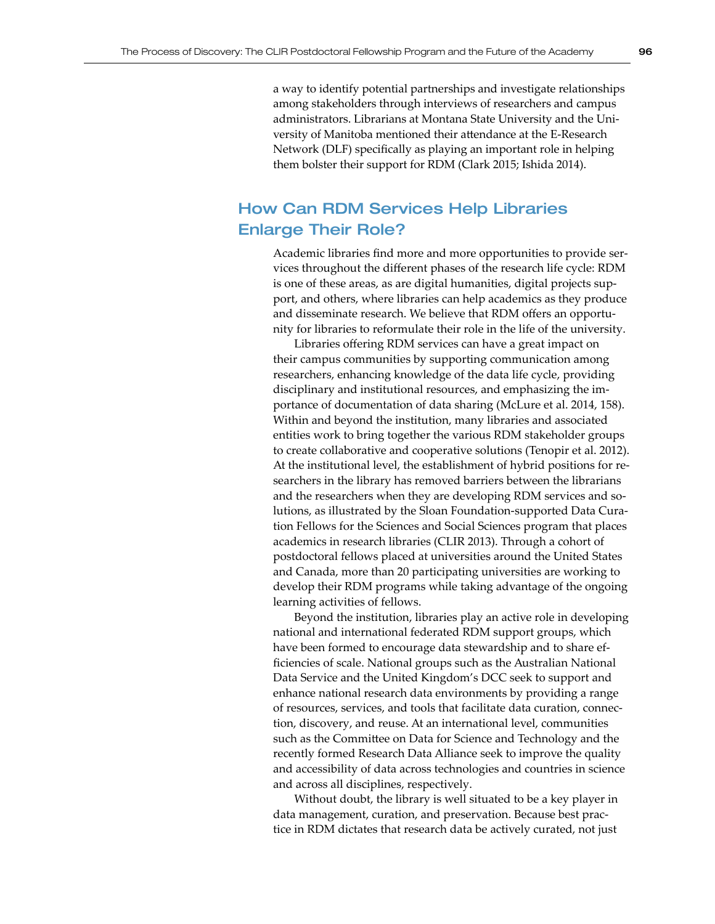a way to identify potential partnerships and investigate relationships among stakeholders through interviews of researchers and campus administrators. Librarians at Montana State University and the University of Manitoba mentioned their attendance at the E-Research Network (DLF) specifically as playing an important role in helping them bolster their support for RDM (Clark 2015; Ishida 2014).

## How Can RDM Services Help Libraries Enlarge Their Role?

Academic libraries find more and more opportunities to provide services throughout the different phases of the research life cycle: RDM is one of these areas, as are digital humanities, digital projects support, and others, where libraries can help academics as they produce and disseminate research. We believe that RDM offers an opportunity for libraries to reformulate their role in the life of the university.

Libraries offering RDM services can have a great impact on their campus communities by supporting communication among researchers, enhancing knowledge of the data life cycle, providing disciplinary and institutional resources, and emphasizing the importance of documentation of data sharing (McLure et al. 2014, 158). Within and beyond the institution, many libraries and associated entities work to bring together the various RDM stakeholder groups to create collaborative and cooperative solutions (Tenopir et al. 2012). At the institutional level, the establishment of hybrid positions for researchers in the library has removed barriers between the librarians and the researchers when they are developing RDM services and solutions, as illustrated by the Sloan Foundation-supported Data Curation Fellows for the Sciences and Social Sciences program that places academics in research libraries (CLIR 2013). Through a cohort of postdoctoral fellows placed at universities around the United States and Canada, more than 20 participating universities are working to develop their RDM programs while taking advantage of the ongoing learning activities of fellows.

Beyond the institution, libraries play an active role in developing national and international federated RDM support groups, which have been formed to encourage data stewardship and to share efficiencies of scale. National groups such as the Australian National Data Service and the United Kingdom's DCC seek to support and enhance national research data environments by providing a range of resources, services, and tools that facilitate data curation, connection, discovery, and reuse. At an international level, communities such as the Committee on Data for Science and Technology and the recently formed Research Data Alliance seek to improve the quality and accessibility of data across technologies and countries in science and across all disciplines, respectively.

Without doubt, the library is well situated to be a key player in data management, curation, and preservation. Because best practice in RDM dictates that research data be actively curated, not just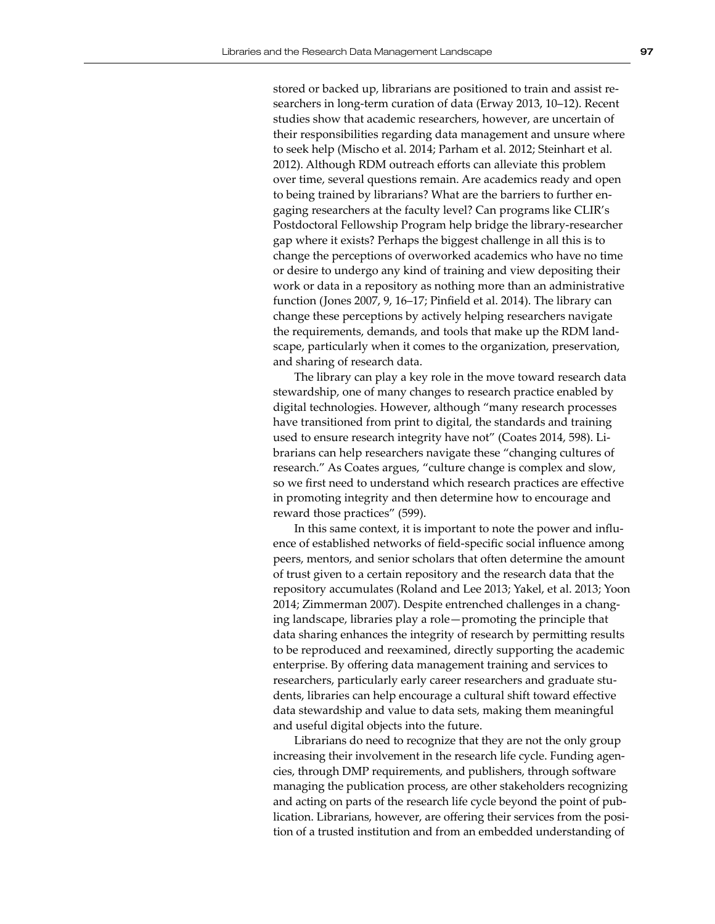stored or backed up, librarians are positioned to train and assist researchers in long-term curation of data (Erway 2013, 10–12). Recent studies show that academic researchers, however, are uncertain of their responsibilities regarding data management and unsure where to seek help (Mischo et al. 2014; Parham et al. 2012; Steinhart et al. 2012). Although RDM outreach efforts can alleviate this problem over time, several questions remain. Are academics ready and open to being trained by librarians? What are the barriers to further engaging researchers at the faculty level? Can programs like CLIR's Postdoctoral Fellowship Program help bridge the library-researcher gap where it exists? Perhaps the biggest challenge in all this is to change the perceptions of overworked academics who have no time or desire to undergo any kind of training and view depositing their work or data in a repository as nothing more than an administrative function (Jones 2007, 9, 16–17; Pinfield et al. 2014). The library can change these perceptions by actively helping researchers navigate the requirements, demands, and tools that make up the RDM landscape, particularly when it comes to the organization, preservation, and sharing of research data.

The library can play a key role in the move toward research data stewardship, one of many changes to research practice enabled by digital technologies. However, although "many research processes have transitioned from print to digital, the standards and training used to ensure research integrity have not" (Coates 2014, 598). Librarians can help researchers navigate these "changing cultures of research." As Coates argues, "culture change is complex and slow, so we first need to understand which research practices are effective in promoting integrity and then determine how to encourage and reward those practices" (599).

In this same context, it is important to note the power and influence of established networks of field-specific social influence among peers, mentors, and senior scholars that often determine the amount of trust given to a certain repository and the research data that the repository accumulates (Roland and Lee 2013; Yakel, et al. 2013; Yoon 2014; Zimmerman 2007). Despite entrenched challenges in a changing landscape, libraries play a role—promoting the principle that data sharing enhances the integrity of research by permitting results to be reproduced and reexamined, directly supporting the academic enterprise. By offering data management training and services to researchers, particularly early career researchers and graduate students, libraries can help encourage a cultural shift toward effective data stewardship and value to data sets, making them meaningful and useful digital objects into the future.

Librarians do need to recognize that they are not the only group increasing their involvement in the research life cycle. Funding agencies, through DMP requirements, and publishers, through software managing the publication process, are other stakeholders recognizing and acting on parts of the research life cycle beyond the point of publication. Librarians, however, are offering their services from the position of a trusted institution and from an embedded understanding of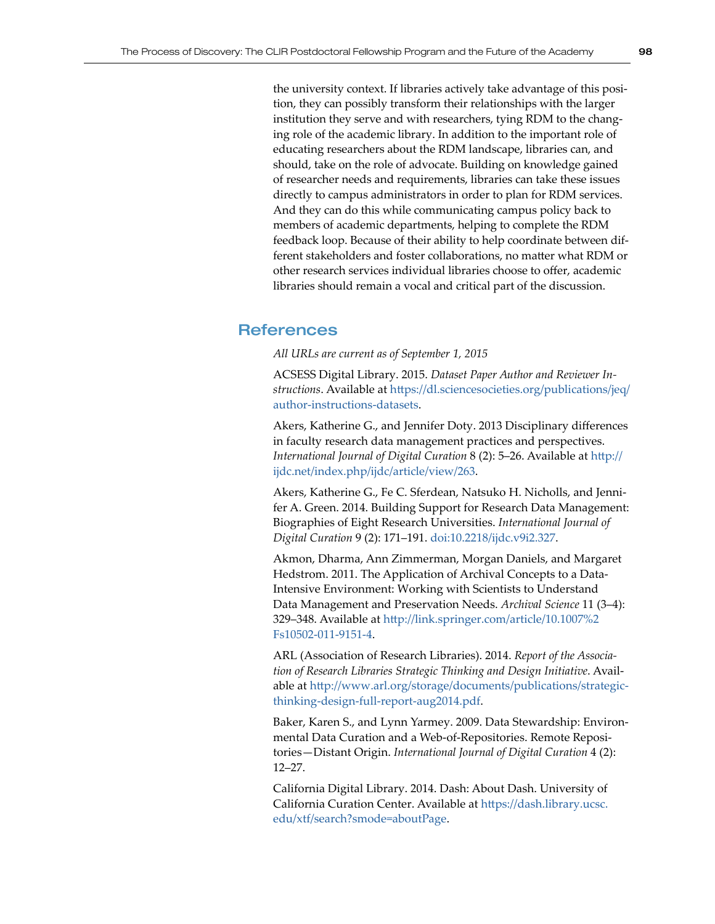the university context. If libraries actively take advantage of this position, they can possibly transform their relationships with the larger institution they serve and with researchers, tying RDM to the changing role of the academic library. In addition to the important role of educating researchers about the RDM landscape, libraries can, and should, take on the role of advocate. Building on knowledge gained of researcher needs and requirements, libraries can take these issues directly to campus administrators in order to plan for RDM services. And they can do this while communicating campus policy back to members of academic departments, helping to complete the RDM feedback loop. Because of their ability to help coordinate between different stakeholders and foster collaborations, no matter what RDM or other research services individual libraries choose to offer, academic libraries should remain a vocal and critical part of the discussion.

## References

*All URLs are current as of September 1, 2015*

ACSESS Digital Library. 2015. *Dataset Paper Author and Reviewer Instructions*. Available at [https://dl.sciencesocieties.org/publications/jeq/](https://dl.sciencesocieties.org/publications/jeq/author-instructions-datasets) [author-instructions-datasets](https://dl.sciencesocieties.org/publications/jeq/author-instructions-datasets).

Akers, Katherine G., and Jennifer Doty. 2013 Disciplinary differences in faculty research data management practices and perspectives. *International Journal of Digital Curation* 8 (2): 5–26. Available at [http://](http://ijdc.net/index.php/ijdc/article/view/263) [ijdc.net/index.php/ijdc/article/view/263](http://ijdc.net/index.php/ijdc/article/view/263).

Akers, Katherine G., Fe C. Sferdean, Natsuko H. Nicholls, and Jennifer A. Green. 2014. Building Support for Research Data Management: Biographies of Eight Research Universities. *International Journal of Digital Curation* 9 (2): 171–191. [doi:10.2218/ijdc.v9i2.327](http://dx.doi.org/10.2218/ijdc.v9i2.327).

Akmon, Dharma, Ann Zimmerman, Morgan Daniels, and Margaret Hedstrom. 2011. The Application of Archival Concepts to a Data-Intensive Environment: Working with Scientists to Understand Data Management and Preservation Needs. *Archival Science* 11 (3–4): 329–348. Available at [http://link.springer.com/article/10.1007%2](http://link.springer.com/article/10.1007%2Fs10502-011-9151-4) [Fs10502-011-9151-4](http://link.springer.com/article/10.1007%2Fs10502-011-9151-4).

ARL (Association of Research Libraries). 2014. *Report of the Association of Research Libraries Strategic Thinking and Design Initiative*. Available at [http://www.arl.org/storage/documents/publications/strategic](http://www.arl.org/storage/documents/publications/strategic-thinking-design-full-report-aug2014.pdf)[thinking-design-full-report-aug2014.pdf](http://www.arl.org/storage/documents/publications/strategic-thinking-design-full-report-aug2014.pdf).

Baker, Karen S., and Lynn Yarmey. 2009. Data Stewardship: Environmental Data Curation and a Web-of-Repositories. Remote Repositories—Distant Origin. *International Journal of Digital Curation* 4 (2): 12–27.

California Digital Library. 2014. Dash: About Dash. University of California Curation Center. Available at [https://dash.library.ucsc.](https://dash.library.ucsc.edu/xtf/search?smode=aboutPage) [edu/xtf/search?smode=aboutPage](https://dash.library.ucsc.edu/xtf/search?smode=aboutPage).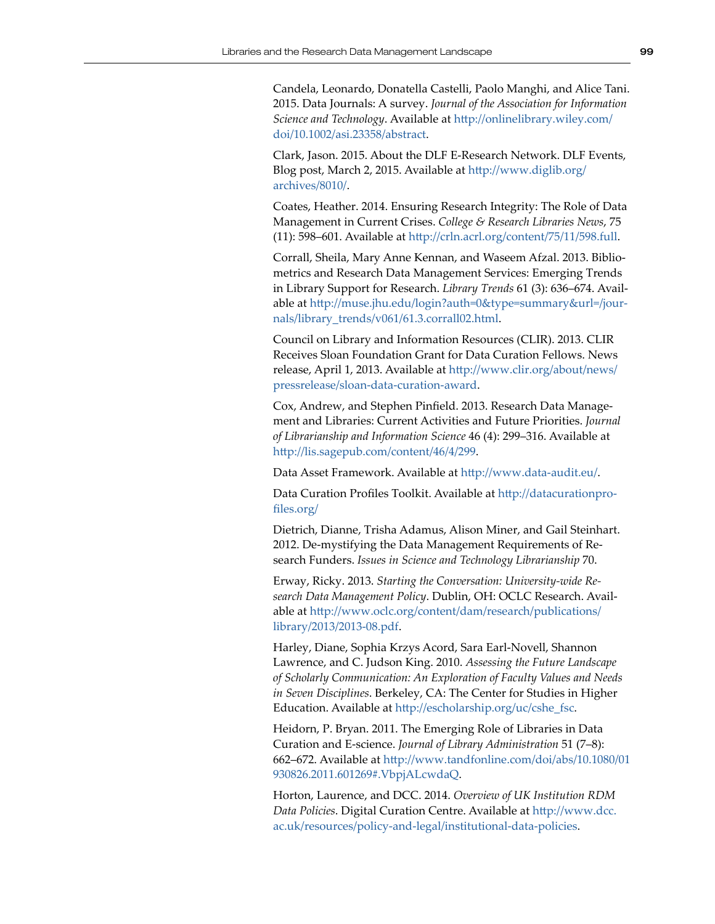Candela, Leonardo, Donatella Castelli, Paolo Manghi, and Alice Tani. 2015. Data Journals: A survey. *Journal of the Association for Information Science and Technology*. Available at [http://onlinelibrary.wiley.com/](http://onlinelibrary.wiley.com/doi/10.1002/asi.23358/abstract) [doi/10.1002/asi.23358/abstract](http://onlinelibrary.wiley.com/doi/10.1002/asi.23358/abstract).

Clark, Jason. 2015. About the DLF E-Research Network. DLF Events, Blog post, March 2, 2015. Available at [http://www.diglib.org/](http://www.diglib.org/archives/8010/) [archives/8010/](http://www.diglib.org/archives/8010/).

Coates, Heather. 2014. Ensuring Research Integrity: The Role of Data Management in Current Crises. *College & Research Libraries News*, 75 (11): 598–601. Available at<http://crln.acrl.org/content/75/11/598.full>.

Corrall, Sheila, Mary Anne Kennan, and Waseem Afzal. 2013. Bibliometrics and Research Data Management Services: Emerging Trends in Library Support for Research. *Library Trends* 61 (3): 636–674. Available at [http://muse.jhu.edu/login?auth=0&type=summary&url=/jour](http://muse.jhu.edu/login?auth=0&type=summary&url=/journals/library_trends/v061/61.3.corrall02.html)[nals/library\\_trends/v061/61.3.corrall02.html](http://muse.jhu.edu/login?auth=0&type=summary&url=/journals/library_trends/v061/61.3.corrall02.html).

Council on Library and Information Resources (CLIR). 2013. CLIR Receives Sloan Foundation Grant for Data Curation Fellows. News release, April 1, 2013. Available at [http://www.clir.org/about/news/](http://www.clir.org/about/news/pressrelease/sloan-data-curation-award) [pressrelease/sloan-data-curation-award](http://www.clir.org/about/news/pressrelease/sloan-data-curation-award).

Cox, Andrew, and Stephen Pinfield. 2013. Research Data Management and Libraries: Current Activities and Future Priorities. *Journal of Librarianship and Information Science* 46 (4): 299–316. Available at <http://lis.sagepub.com/content/46/4/299>.

Data Asset Framework. Available at <http://www.data-audit.eu/>.

Data Curation Profiles Toolkit. Available at [http://datacurationpro](http://datacurationprofiles.org/)[files.org/](http://datacurationprofiles.org/)

Dietrich, Dianne, Trisha Adamus, Alison Miner, and Gail Steinhart. 2012. De-mystifying the Data Management Requirements of Research Funders. *Issues in Science and Technology Librarianship* 70.

Erway, Ricky. 2013. *Starting the Conversation: University-wide Research Data Management Policy*. Dublin, OH: OCLC Research. Available at [http://www.oclc.org/content/dam/research/publications/](http://www.oclc.org/content/dam/research/publications/library/2013/2013-08.pdf) [library/2013/2013-08.pdf](http://www.oclc.org/content/dam/research/publications/library/2013/2013-08.pdf).

Harley, Diane, Sophia Krzys Acord, Sara Earl-Novell, Shannon Lawrence, and C. Judson King. 2010. *Assessing the Future Landscape of Scholarly Communication: An Exploration of Faculty Values and Needs in Seven Disciplines*. Berkeley, CA: The Center for Studies in Higher Education. Available at [http://escholarship.org/uc/cshe\\_fsc](http://escholarship.org/uc/cshe_fsc).

Heidorn, P. Bryan. 2011. The Emerging Role of Libraries in Data Curation and E-science. *Journal of Library Administration* 51 (7–8): 662–672. Available at [http://www.tandfonline.com/doi/abs/10.1080/01](http://www.tandfonline.com/doi/abs/10.1080/01930826.2011.601269#.VbpjALcwdaQ) [930826.2011.601269#.VbpjALcwdaQ](http://www.tandfonline.com/doi/abs/10.1080/01930826.2011.601269#.VbpjALcwdaQ).

Horton, Laurence, and DCC. 2014. *Overview of UK Institution RDM Data Policies*. Digital Curation Centre. Available at [http://www.dcc.](http://www.dcc.ac.uk/resources/policy-and-legal/institutional-data-policies) [ac.uk/resources/policy-and-legal/institutional-data-policies](http://www.dcc.ac.uk/resources/policy-and-legal/institutional-data-policies).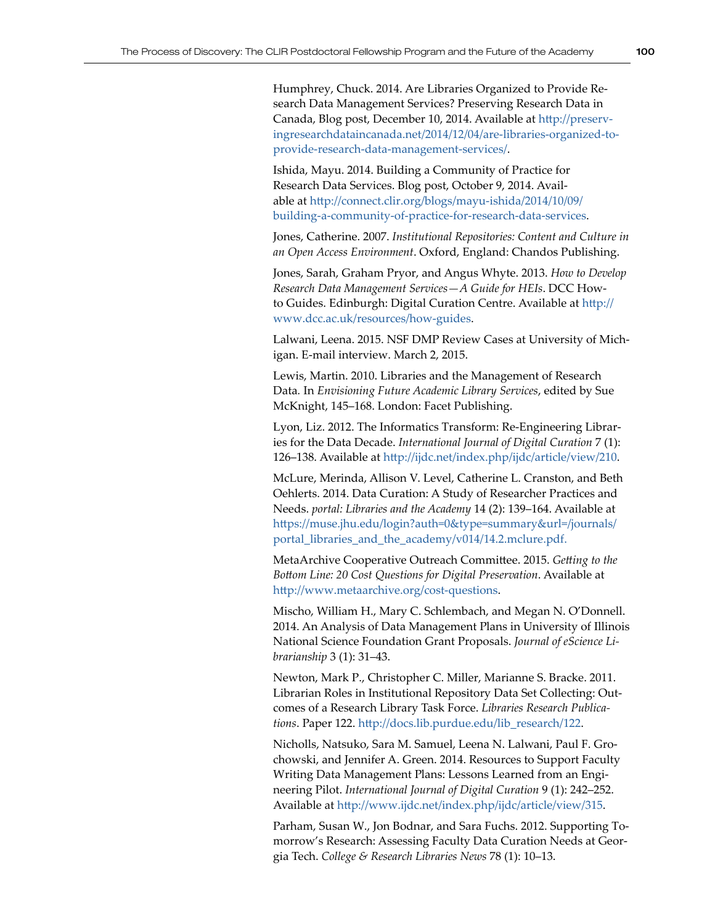Humphrey, Chuck. 2014. Are Libraries Organized to Provide Research Data Management Services? Preserving Research Data in Canada, Blog post, December 10, 2014. Available at [http://preserv](http://preservingresearchdataincanada.net/2014/12/04/are-libraries-organized-to-provide-research-data-management-services/)[ingresearchdataincanada.net/2014/12/04/are-libraries-organized-to](http://preservingresearchdataincanada.net/2014/12/04/are-libraries-organized-to-provide-research-data-management-services/)[provide-research-data-management-services/](http://preservingresearchdataincanada.net/2014/12/04/are-libraries-organized-to-provide-research-data-management-services/).

Ishida, Mayu. 2014. Building a Community of Practice for Research Data Services. Blog post, October 9, 2014. Available at [http://connect.clir.org/blogs/mayu-ishida/2014/10/09/](http://connect.clir.org/blogs/mayu-ishida/2014/10/09/building-a-community-of-practice-for-research-data-services) [building-a-community-of-practice-for-research-data-services](http://connect.clir.org/blogs/mayu-ishida/2014/10/09/building-a-community-of-practice-for-research-data-services).

Jones, Catherine. 2007. *Institutional Repositories: Content and Culture in an Open Access Environment*. Oxford, England: Chandos Publishing.

Jones, Sarah, Graham Pryor, and Angus Whyte. 2013. *How to Develop Research Data Management Services—A Guide for HEIs*. DCC Howto Guides. Edinburgh: Digital Curation Centre. Available at [http://](http://www.dcc.ac.uk/resources/how-guides) [www.dcc.ac.uk/resources/how-guides](http://www.dcc.ac.uk/resources/how-guides).

Lalwani, Leena. 2015. NSF DMP Review Cases at University of Michigan. E-mail interview. March 2, 2015.

Lewis, Martin. 2010. Libraries and the Management of Research Data*.* In *Envisioning Future Academic Library Services*, edited by Sue McKnight, 145–168. London: Facet Publishing.

Lyon, Liz. 2012. The Informatics Transform: Re-Engineering Libraries for the Data Decade. *International Journal of Digital Curation* 7 (1): 126–138. Available at<http://ijdc.net/index.php/ijdc/article/view/210>.

McLure, Merinda, Allison V. Level, Catherine L. Cranston, and Beth Oehlerts. 2014. Data Curation: A Study of Researcher Practices and Needs. *portal: Libraries and the Academy* 14 (2): 139–164. Available at [https://muse.jhu.edu/login?auth=0&type=summary&url=/journals/](https://muse.jhu.edu/login?auth=0&type=summary&url=/journals/portal_libraries_and_the_academy/v014/14.2.mclure.pdf) [portal\\_libraries\\_and\\_the\\_academy/v014/14.2.mclure.pdf](https://muse.jhu.edu/login?auth=0&type=summary&url=/journals/portal_libraries_and_the_academy/v014/14.2.mclure.pdf).

MetaArchive Cooperative Outreach Committee. 2015. *Getting to the Bottom Line: 20 Cost Questions for Digital Preservation*. Available at <http://www.metaarchive.org/cost-questions>.

Mischo, William H., Mary C. Schlembach, and Megan N. O'Donnell. 2014. An Analysis of Data Management Plans in University of Illinois National Science Foundation Grant Proposals. *Journal of eScience Librarianship* 3 (1): 31–43.

Newton, Mark P., Christopher C. Miller, Marianne S. Bracke. 2011. Librarian Roles in Institutional Repository Data Set Collecting: Outcomes of a Research Library Task Force. *Libraries Research Publications*. Paper 122. [http://docs.lib.purdue.edu/lib\\_research/122](http://docs.lib.purdue.edu/lib_research/122).

Nicholls, Natsuko, Sara M. Samuel, Leena N. Lalwani, Paul F. Grochowski, and Jennifer A. Green. 2014. Resources to Support Faculty Writing Data Management Plans: Lessons Learned from an Engineering Pilot. *International Journal of Digital Curation* 9 (1): 242–252. Available at <http://www.ijdc.net/index.php/ijdc/article/view/315>.

Parham, Susan W., Jon Bodnar, and Sara Fuchs. 2012. Supporting Tomorrow's Research: Assessing Faculty Data Curation Needs at Georgia Tech. *College & Research Libraries News* 78 (1): 10–13.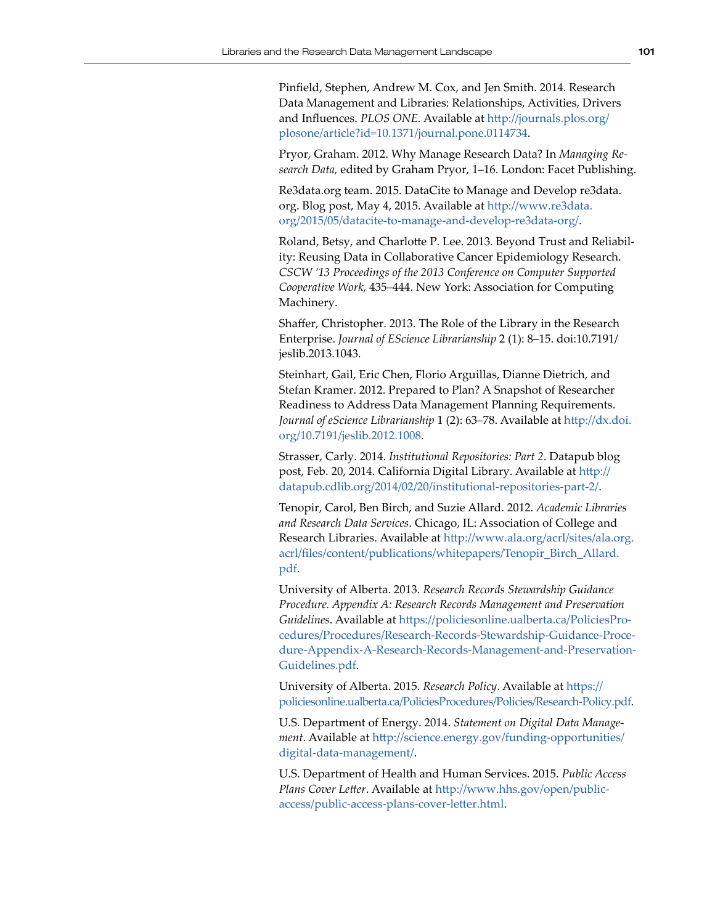Pinfield, Stephen, Andrew M. Cox, and Jen Smith. 2014. Research Data Management and Libraries: Relationships, Activities, Drivers and Influences. *PLOS ONE.* Available at [http://journals.plos.org/](http://journals.plos.org/plosone/article?id=10.1371/journal.pone.0114734) [plosone/article?id=10.1371/journal.pone.0114734](http://journals.plos.org/plosone/article?id=10.1371/journal.pone.0114734).

Pryor, Graham. 2012. Why Manage Research Data? In *Managing Research Data,* edited by Graham Pryor, 1–16. London: Facet Publishing.

Re3data.org team. 2015. DataCite to Manage and Develop re3data. org. Blog post, May 4, 2015. Available at [http://www.re3data.](http://www.re3data.org/2015/05/datacite-to-manage-and-develop-re3data-org/) [org/2015/05/datacite-to-manage-and-develop-re3data-org/](http://www.re3data.org/2015/05/datacite-to-manage-and-develop-re3data-org/).

Roland, Betsy, and Charlotte P. Lee. 2013. Beyond Trust and Reliability: Reusing Data in Collaborative Cancer Epidemiology Research. *CSCW '13 Proceedings of the 2013 Conference on Computer Supported Cooperative Work*, 435–444. New York: Association for Computing Machinery.

Shaffer, Christopher. 2013. The Role of the Library in the Research Enterprise. *Journal of EScience Librarianship* 2 (1): 8–15. doi:10.7191/ jeslib.2013.1043.

Steinhart, Gail, Eric Chen, Florio Arguillas, Dianne Dietrich, and Stefan Kramer. 2012. Prepared to Plan? A Snapshot of Researcher Readiness to Address Data Management Planning Requirements. *Journal of eScience Librarianship* 1 (2): 63–78. Available at [http://dx.doi.](http://dx.doi.org/10.7191/jeslib.2012.1008) [org/10.7191/jeslib.2012.1008](http://dx.doi.org/10.7191/jeslib.2012.1008).

Strasser, Carly. 2014. *Institutional Repositories: Part 2*. Datapub blog post, Feb. 20, 2014. California Digital Library. Available at [http://](http://datapub.cdlib.org/2014/02/20/institutional-repositories-part-2/) [datapub.cdlib.org/2014/02/20/institutional-repositories-part-2/](http://datapub.cdlib.org/2014/02/20/institutional-repositories-part-2/).

Tenopir, Carol, Ben Birch, and Suzie Allard. 2012. *Academic Libraries and Research Data Services*. Chicago, IL: Association of College and Research Libraries. Available at [http://www.ala.org/acrl/sites/ala.org.](http://www.ala.org/acrl/sites/ala.org.acrl/files/content/publications/whitepapers/Tenopir_Birch_Allard.pdf) [acrl/files/content/publications/whitepapers/Tenopir\\_Birch\\_Allard.](http://www.ala.org/acrl/sites/ala.org.acrl/files/content/publications/whitepapers/Tenopir_Birch_Allard.pdf) [pdf](http://www.ala.org/acrl/sites/ala.org.acrl/files/content/publications/whitepapers/Tenopir_Birch_Allard.pdf).

University of Alberta. 2013. *Research Records Stewardship Guidance Procedure. Appendix A: Research Records Management and Preservation Guidelines*. Available at [https://policiesonline.ualberta.ca/PoliciesPro](https://policiesonline.ualberta.ca/PoliciesProcedures/Procedures/Research-Records-Stewardship-Guidance-Procedure-Appendix-A-Research-Records-Management-and-Preservation-Guidelines.pdf)[cedures/Procedures/Research-Records-Stewardship-Guidance-Proce](https://policiesonline.ualberta.ca/PoliciesProcedures/Procedures/Research-Records-Stewardship-Guidance-Procedure-Appendix-A-Research-Records-Management-and-Preservation-Guidelines.pdf)[dure-Appendix-A-Research-Records-Management-and-Preservation-](https://policiesonline.ualberta.ca/PoliciesProcedures/Procedures/Research-Records-Stewardship-Guidance-Procedure-Appendix-A-Research-Records-Management-and-Preservation-Guidelines.pdf)[Guidelines.pdf](https://policiesonline.ualberta.ca/PoliciesProcedures/Procedures/Research-Records-Stewardship-Guidance-Procedure-Appendix-A-Research-Records-Management-and-Preservation-Guidelines.pdf).

University of Alberta. 2015. *Research Policy*. Available at [https://](https://policiesonline.ualberta.ca/PoliciesProcedures/Policies/Research-Policy.pdf) [policiesonline.ualberta.ca/PoliciesProcedures/Policies/Research-Policy.pdf](https://policiesonline.ualberta.ca/PoliciesProcedures/Policies/Research-Policy.pdf).

U.S. Department of Energy. 2014. *Statement on Digital Data Management*. Available at [http://science.energy.gov/funding-opportunities/](http://science.energy.gov/funding-opportunities/digital-data-management/) [digital-data-management/](http://science.energy.gov/funding-opportunities/digital-data-management/).

U.S. Department of Health and Human Services. 2015. *Public Access Plans Cover Letter*. Available at [http://www.hhs.gov/open/public](http://www.hhs.gov/open/public-access/public-access-plans-cover-letter.html)[access/public-access-plans-cover-letter.html](http://www.hhs.gov/open/public-access/public-access-plans-cover-letter.html).